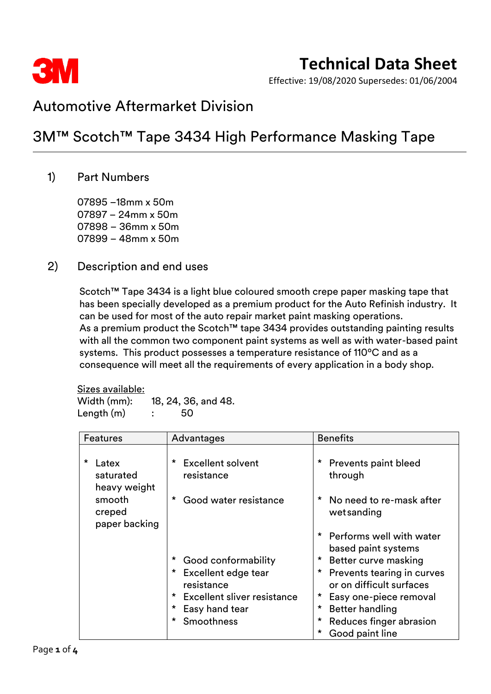

## **Technical Data Sheet**

Effective: 19/08/2020 Supersedes: 01/06/2004

### Automotive Aftermarket Division

### 3M™ Scotch™ Tape 3434 High Performance Masking Tape

### 1) Part Numbers

–18mm x 50m – 24mm x 50m – 36mm x 50m – 48mm x 50m

#### 2) Description and end uses

Scotch™ Tape 3434 is a light blue coloured smooth crepe paper masking tape that has been specially developed as a premium product for the Auto Refinish industry. It can be used for most of the auto repair market paint masking operations. As a premium product the Scotch™ tape 3434 provides outstanding painting results with all the common two component paint systems as well as with water-based paint systems. This product possesses a temperature resistance of 110ºC and as a consequence will meet all the requirements of every application in a body shop.

Sizes available: Width (mm): 18, 24, 36, and 48.  $Length(m)$  : 50

| <b>Features</b>                               | Advantages                                   | <b>Benefits</b>                                             |  |
|-----------------------------------------------|----------------------------------------------|-------------------------------------------------------------|--|
| $\star$<br>Latex<br>saturated<br>heavy weight | <b>Excellent solvent</b><br>*<br>resistance  | $\star$<br><b>Prevents paint bleed</b><br>through           |  |
| smooth<br>creped<br>paper backing             | Good water resistance<br>*                   | $\star$<br>No need to re-mask after<br>wetsanding           |  |
|                                               |                                              | * Performs well with water<br>based paint systems           |  |
|                                               | Good conformability                          | *<br>Better curve masking                                   |  |
|                                               | $\star$<br>Excellent edge tear<br>resistance | *<br>Prevents tearing in curves<br>or on difficult surfaces |  |
|                                               | Excellent sliver resistance<br>$^\star$      | Easy one-piece removal                                      |  |
|                                               | Easy hand tear                               | *<br><b>Better handling</b>                                 |  |
|                                               | Smoothness                                   | *<br>Reduces finger abrasion                                |  |
|                                               |                                              | *<br>Good paint line                                        |  |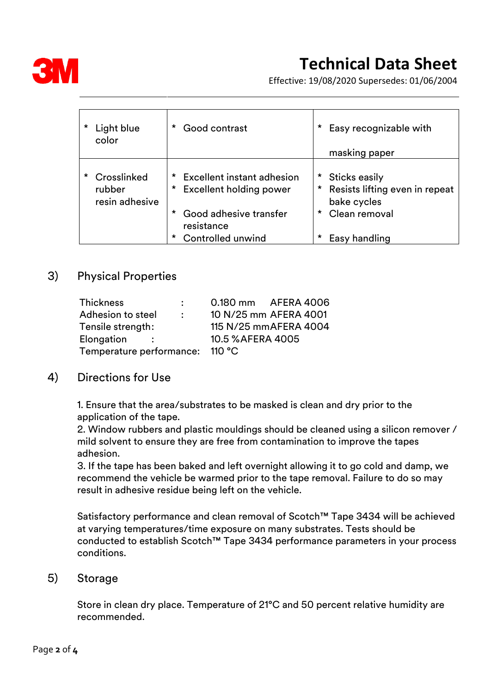

# **Technical Data Sheet**

Effective: 19/08/2020 Supersedes: 01/06/2004

| * | Light blue<br>color                     | Good contrast                                                                   | *<br>Easy recognizable with<br>masking paper                                   |
|---|-----------------------------------------|---------------------------------------------------------------------------------|--------------------------------------------------------------------------------|
| * | Crosslinked<br>rubber<br>resin adhesive | Excellent instant adhesion<br>Excellent holding power<br>*                      | $\star$<br>Sticks easily<br>Resists lifting even in repeat<br>*<br>bake cycles |
|   |                                         | Good adhesive transfer<br>$\star$<br>resistance<br>Controlled unwind<br>$\star$ | Clean removal<br>$\star$<br>*<br>Easy handling                                 |

#### 3) Physical Properties

| Thickness<br>$\bullet$ . The set of $\bullet$ | 0.180 mm AFERA 4006    |
|-----------------------------------------------|------------------------|
| Adhesion to steel<br>$\mathcal{L}$            | 10 N/25 mm AFERA 4001  |
| Tensile strength:                             | 115 N/25 mm AFERA 4004 |
| Elongation<br>$\sim$ $\sim$ $\sim$            | 10.5 % AFERA 4005      |
| Temperature performance:                      | 110 °C                 |

#### 4) Directions for Use

1. Ensure that the area/substrates to be masked is clean and dry prior to the application of the tape.

2. Window rubbers and plastic mouldings should be cleaned using a silicon remover / mild solvent to ensure they are free from contamination to improve the tapes adhesion.

3. If the tape has been baked and left overnight allowing it to go cold and damp, we recommend the vehicle be warmed prior to the tape removal. Failure to do so may result in adhesive residue being left on the vehicle.

Satisfactory performance and clean removal of Scotch™ Tape 3434 will be achieved at varying temperatures/time exposure on many substrates. Tests should be conducted to establish Scotch™ Tape 3434 performance parameters in your process conditions.

#### 5) Storage

Store in clean dry place. Temperature of 21°C and 50 percent relative humidity are recommended.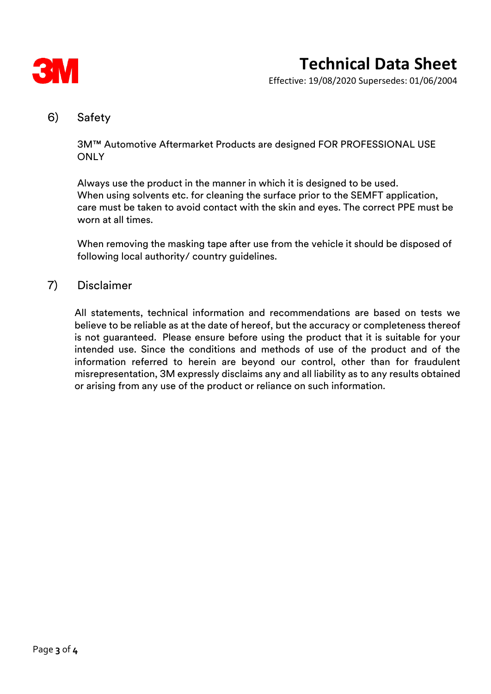

Effective: 19/08/2020 Supersedes: 01/06/2004

#### 6) Safety

3M™ Automotive Aftermarket Products are designed FOR PROFESSIONAL USE **ONLY** 

Always use the product in the manner in which it is designed to be used. When using solvents etc. for cleaning the surface prior to the SEMFT application, care must be taken to avoid contact with the skin and eyes. The correct PPE must be worn at all times.

When removing the masking tape after use from the vehicle it should be disposed of following local authority/ country guidelines.

#### 7) Disclaimer

All statements, technical information and recommendations are based on tests we believe to be reliable as at the date of hereof, but the accuracy or completeness thereof is not guaranteed. Please ensure before using the product that it is suitable for your intended use. Since the conditions and methods of use of the product and of the information referred to herein are beyond our control, other than for fraudulent misrepresentation, 3M expressly disclaims any and all liability as to any results obtained or arising from any use of the product or reliance on such information.